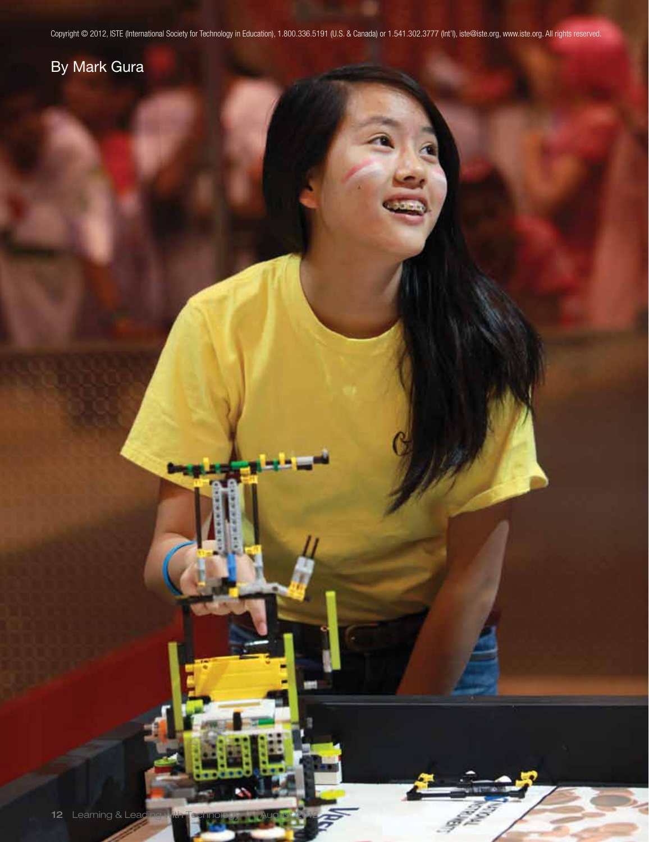Copyright © 2012, ISTE (International Society for Technology in Education), 1.800.336.5191 (U.S. & Canada) or 1.541.302.3777 (Int'l), iste@iste.org, www.iste.org. All rights reserved.

## By Mark Gura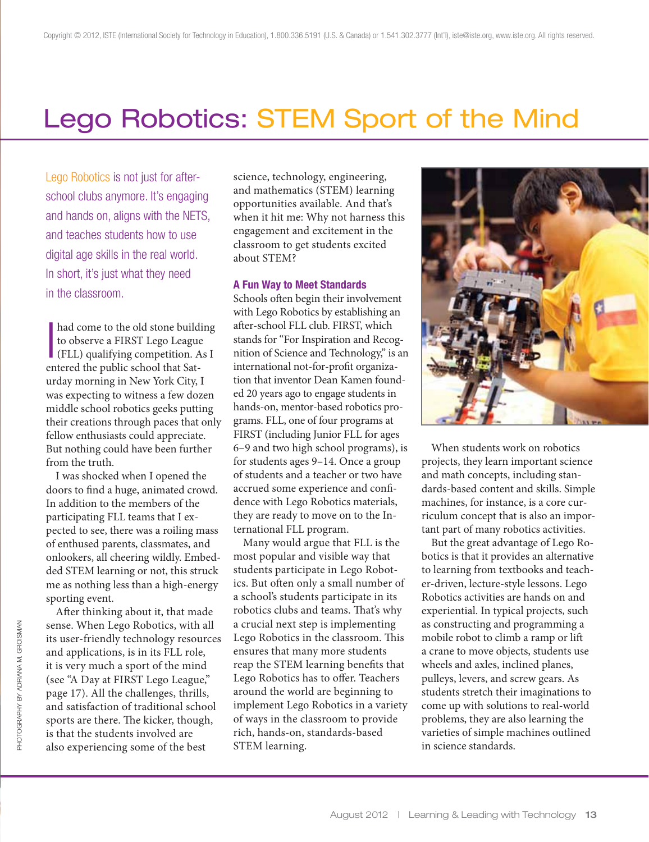# Lego Robotics: STEM Sport of the Mind

Lego Robotics is not just for afterschool clubs anymore. It's engaging and hands on, aligns with the NETS, and teaches students how to use digital age skills in the real world. In short, it's just what they need in the classroom.

had come to the old stone building<br>to observe a FIRST Lego League<br>(FLL) qualifying competition. As I had come to the old stone building to observe a FIRST Lego League entered the public school that Saturday morning in New York City, I was expecting to witness a few dozen middle school robotics geeks putting their creations through paces that only fellow enthusiasts could appreciate. But nothing could have been further from the truth.

I was shocked when I opened the doors to find a huge, animated crowd. In addition to the members of the participating FLL teams that I expected to see, there was a roiling mass of enthused parents, classmates, and onlookers, all cheering wildly. Embedded STEM learning or not, this struck me as nothing less than a high-energy sporting event.

After thinking about it, that made sense. When Lego Robotics, with all its user-friendly technology resources and applications, is in its FLL role, it is very much a sport of the mind (see "A Day at FIRST Lego League," page 17). All the challenges, thrills, and satisfaction of traditional school sports are there. The kicker, though, is that the students involved are also experiencing some of the best

science, technology, engineering, and mathematics (STEM) learning opportunities available. And that's when it hit me: Why not harness this engagement and excitement in the classroom to get students excited about STEM?

#### A Fun Way to Meet Standards

Schools often begin their involvement with Lego Robotics by establishing an after-school FLL club. FIRST, which stands for "For Inspiration and Recognition of Science and Technology," is an international not-for-profit organization that inventor Dean Kamen founded 20 years ago to engage students in hands-on, mentor-based robotics programs. FLL, one of four programs at FIRST (including Junior FLL for ages 6–9 and two high school programs), is for students ages 9–14. Once a group of students and a teacher or two have accrued some experience and confidence with Lego Robotics materials, they are ready to move on to the International FLL program.

Many would argue that FLL is the most popular and visible way that students participate in Lego Robotics. But often only a small number of a school's students participate in its robotics clubs and teams. That's why a crucial next step is implementing Lego Robotics in the classroom. This ensures that many more students reap the STEM learning benefits that Lego Robotics has to offer. Teachers around the world are beginning to implement Lego Robotics in a variety of ways in the classroom to provide rich, hands-on, standards-based STEM learning.



When students work on robotics projects, they learn important science and math concepts, including standards-based content and skills. Simple machines, for instance, is a core curriculum concept that is also an important part of many robotics activities.

But the great advantage of Lego Robotics is that it provides an alternative to learning from textbooks and teacher-driven, lecture-style lessons. Lego Robotics activities are hands on and experiential. In typical projects, such as constructing and programming a mobile robot to climb a ramp or lift a crane to move objects, students use wheels and axles, inclined planes, pulleys, levers, and screw gears. As students stretch their imaginations to come up with solutions to real-world problems, they are also learning the varieties of simple machines outlined in science standards.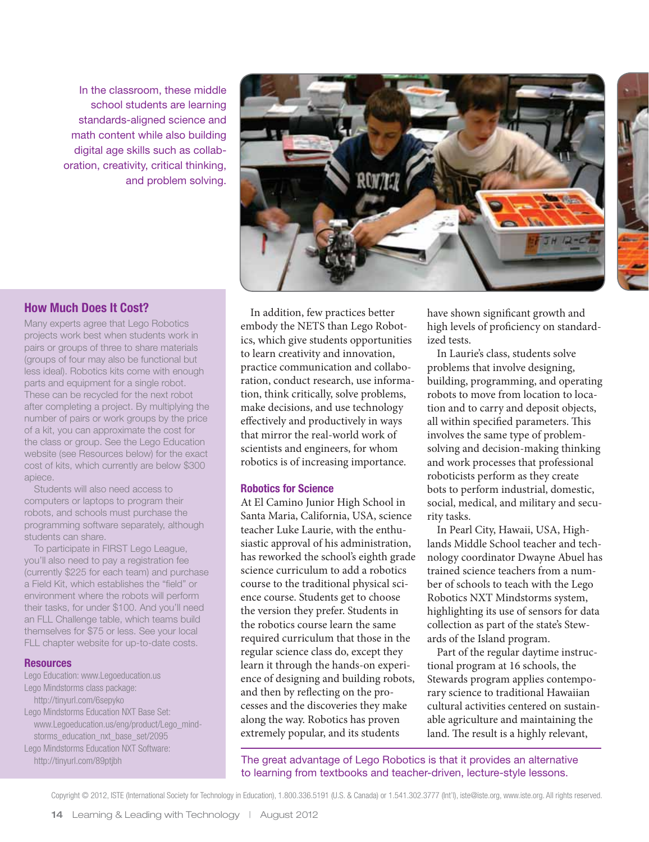In the classroom, these middle school students are learning standards-aligned science and math content while also building digital age skills such as collaboration, creativity, critical thinking, and problem solving.



### How Much Does It Cost?

Many experts agree that Lego Robotics projects work best when students work in pairs or groups of three to share materials (groups of four may also be functional but less ideal). Robotics kits come with enough parts and equipment for a single robot. These can be recycled for the next robot after completing a project. By multiplying the number of pairs or work groups by the price of a kit, you can approximate the cost for the class or group. See the Lego Education website (see Resources below) for the exact cost of kits, which currently are below \$300 apiece.

Students will also need access to computers or laptops to program their robots, and schools must purchase the programming software separately, although students can share.

To participate in FIRST Lego League, you'll also need to pay a registration fee (currently \$225 for each team) and purchase a Field Kit, which establishes the "field" or environment where the robots will perform their tasks, for under \$100. And you'll need an FLL Challenge table, which teams build themselves for \$75 or less. See your local FLL chapter website for up-to-date costs.

#### **Resources**

Lego Education: www.Legoeducation.us Lego Mindstorms class package: http://tinyurl.com/6sepyko Lego Mindstorms Education NXT Base Set: www.Legoeducation.us/eng/product/Lego\_mindstorms\_education\_nxt\_base\_set/2095 Lego Mindstorms Education NXT Software: http://tinyurl.com/89ptjbh

In addition, few practices better embody the NETS than Lego Robotics, which give students opportunities to learn creativity and innovation, practice communication and collaboration, conduct research, use information, think critically, solve problems, make decisions, and use technology effectively and productively in ways that mirror the real-world work of scientists and engineers, for whom robotics is of increasing importance.

#### Robotics for Science

At El Camino Junior High School in Santa Maria, California, USA, science teacher Luke Laurie, with the enthusiastic approval of his administration, has reworked the school's eighth grade science curriculum to add a robotics course to the traditional physical science course. Students get to choose the version they prefer. Students in the robotics course learn the same required curriculum that those in the regular science class do, except they learn it through the hands-on experience of designing and building robots, and then by reflecting on the processes and the discoveries they make along the way. Robotics has proven extremely popular, and its students

have shown significant growth and high levels of proficiency on standardized tests.

In Laurie's class, students solve problems that involve designing, building, programming, and operating robots to move from location to location and to carry and deposit objects, all within specified parameters. This involves the same type of problemsolving and decision-making thinking and work processes that professional roboticists perform as they create bots to perform industrial, domestic, social, medical, and military and security tasks.

In Pearl City, Hawaii, USA, Highlands Middle School teacher and technology coordinator Dwayne Abuel has trained science teachers from a number of schools to teach with the Lego Robotics NXT Mindstorms system, highlighting its use of sensors for data collection as part of the state's Stewards of the Island program.

Part of the regular daytime instructional program at 16 schools, the Stewards program applies contemporary science to traditional Hawaiian cultural activities centered on sustainable agriculture and maintaining the land. The result is a highly relevant,

The great advantage of Lego Robotics is that it provides an alternative to learning from textbooks and teacher-driven, lecture-style lessons.

Copyright © 2012, ISTE (International Society for Technology in Education), 1.800.336.5191 (U.S. & Canada) or 1.541.302.3777 (Int'l), iste@iste.org, www.iste.org. All rights reserved.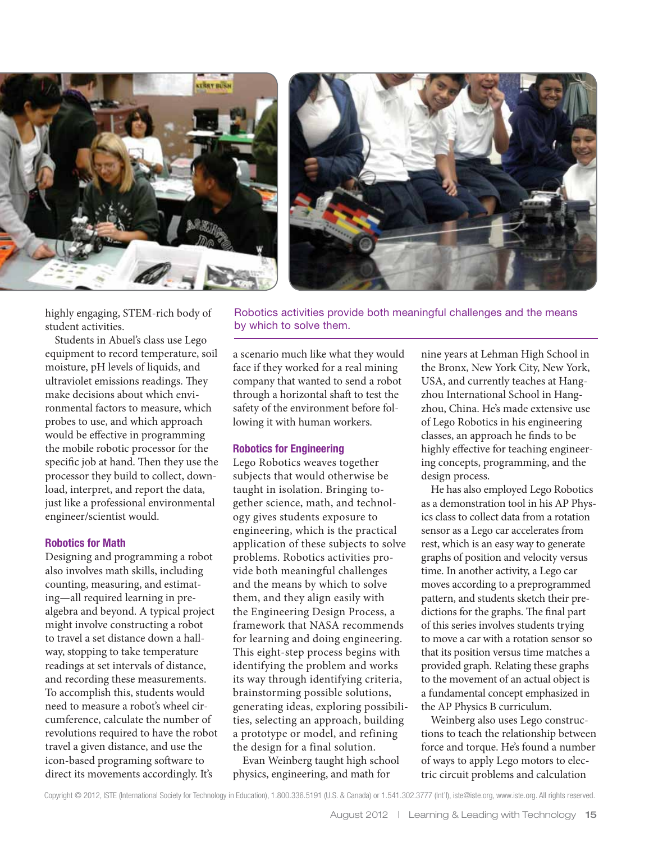



Robotics activities provide both meaningful challenges and the means

highly engaging, STEM-rich body of student activities.

Students in Abuel's class use Lego equipment to record temperature, soil moisture, pH levels of liquids, and ultraviolet emissions readings. They make decisions about which environmental factors to measure, which probes to use, and which approach would be effective in programming the mobile robotic processor for the specific job at hand. Then they use the processor they build to collect, download, interpret, and report the data, just like a professional environmental engineer/scientist would.

#### Robotics for Math

Designing and programming a robot also involves math skills, including counting, measuring, and estimating—all required learning in prealgebra and beyond. A typical project might involve constructing a robot to travel a set distance down a hallway, stopping to take temperature readings at set intervals of distance, and recording these measurements. To accomplish this, students would need to measure a robot's wheel circumference, calculate the number of revolutions required to have the robot travel a given distance, and use the icon-based programing software to direct its movements accordingly. It's

a scenario much like what they would face if they worked for a real mining company that wanted to send a robot through a horizontal shaft to test the safety of the environment before following it with human workers.

#### Robotics for Engineering

by which to solve them.

Lego Robotics weaves together subjects that would otherwise be taught in isolation. Bringing together science, math, and technology gives students exposure to engineering, which is the practical application of these subjects to solve problems. Robotics activities provide both meaningful challenges and the means by which to solve them, and they align easily with the Engineering Design Process, a framework that NASA recommends for learning and doing engineering. This eight-step process begins with identifying the problem and works its way through identifying criteria, brainstorming possible solutions, generating ideas, exploring possibilities, selecting an approach, building a prototype or model, and refining the design for a final solution.

Evan Weinberg taught high school physics, engineering, and math for

nine years at Lehman High School in the Bronx, New York City, New York, USA, and currently teaches at Hangzhou International School in Hangzhou, China. He's made extensive use of Lego Robotics in his engineering classes, an approach he finds to be highly effective for teaching engineering concepts, programming, and the design process.

He has also employed Lego Robotics as a demonstration tool in his AP Physics class to collect data from a rotation sensor as a Lego car accelerates from rest, which is an easy way to generate graphs of position and velocity versus time. In another activity, a Lego car moves according to a preprogrammed pattern, and students sketch their predictions for the graphs. The final part of this series involves students trying to move a car with a rotation sensor so that its position versus time matches a provided graph. Relating these graphs to the movement of an actual object is a fundamental concept emphasized in the AP Physics B curriculum.

Weinberg also uses Lego constructions to teach the relationship between force and torque. He's found a number of ways to apply Lego motors to electric circuit problems and calculation

Copyright © 2012, ISTE (International Society for Technology in Education), 1.800.336.5191 (U.S. & Canada) or 1.541.302.3777 (Int'l), iste@iste.org, www.iste.org. All rights reserved.